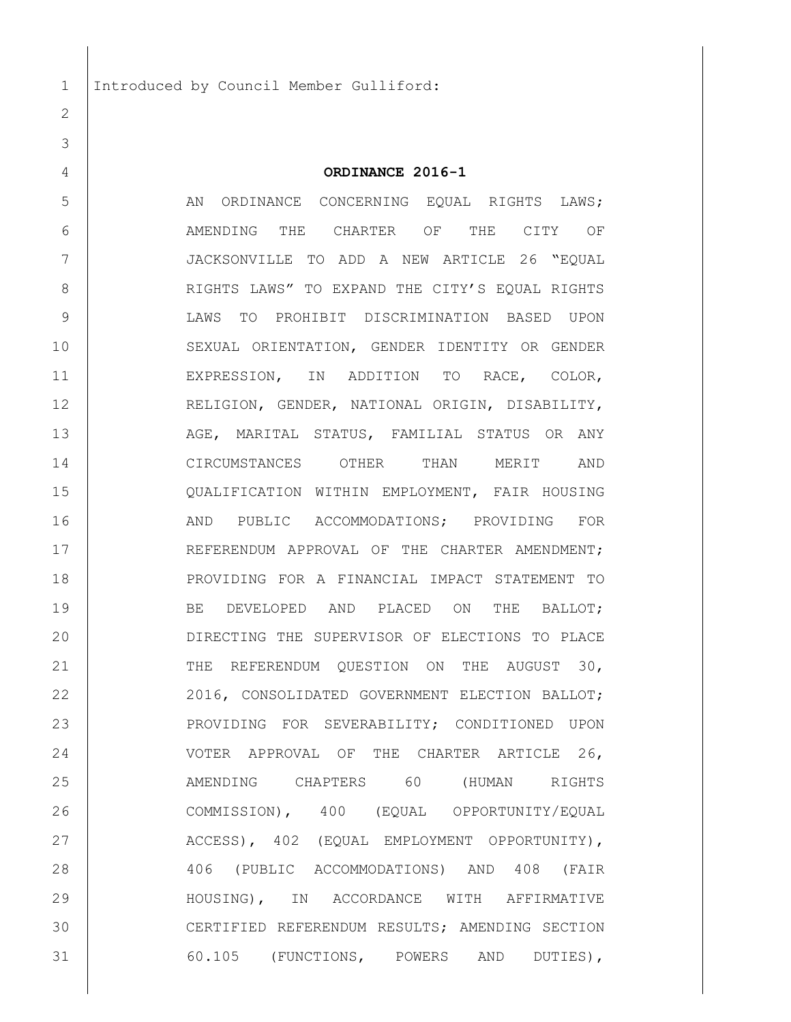$\mathcal{P}$ 

## **ORDINANCE 2016-1**

5 AN ORDINANCE CONCERNING EQUAL RIGHTS LAWS; AMENDING THE CHARTER OF THE CITY OF JACKSONVILLE TO ADD A NEW ARTICLE 26 "EQUAL 8 | RIGHTS LAWS" TO EXPAND THE CITY'S EQUAL RIGHTS LAWS TO PROHIBIT DISCRIMINATION BASED UPON SEXUAL ORIENTATION, GENDER IDENTITY OR GENDER EXPRESSION, IN ADDITION TO RACE, COLOR, RELIGION, GENDER, NATIONAL ORIGIN, DISABILITY, 13 AGE, MARITAL STATUS, FAMILIAL STATUS OR ANY CIRCUMSTANCES OTHER THAN MERIT AND QUALIFICATION WITHIN EMPLOYMENT, FAIR HOUSING 16 AND PUBLIC ACCOMMODATIONS; PROVIDING FOR 17 REFERENDUM APPROVAL OF THE CHARTER AMENDMENT; PROVIDING FOR A FINANCIAL IMPACT STATEMENT TO 19 BE DEVELOPED AND PLACED ON THE BALLOT; DIRECTING THE SUPERVISOR OF ELECTIONS TO PLACE 21 THE REFERENDUM QUESTION ON THE AUGUST 30, 22 2016, CONSOLIDATED GOVERNMENT ELECTION BALLOT; PROVIDING FOR SEVERABILITY; CONDITIONED UPON VOTER APPROVAL OF THE CHARTER ARTICLE 26, AMENDING CHAPTERS 60 (HUMAN RIGHTS COMMISSION), 400 (EQUAL OPPORTUNITY/EQUAL 27 ACCESS), 402 (EQUAL EMPLOYMENT OPPORTUNITY), 406 (PUBLIC ACCOMMODATIONS) AND 408 (FAIR HOUSING), IN ACCORDANCE WITH AFFIRMATIVE CERTIFIED REFERENDUM RESULTS; AMENDING [SECTION](javascript:void(0))  [60.105 \(FUNCTIONS, POWERS AND DUTIES\)](javascript:void(0)),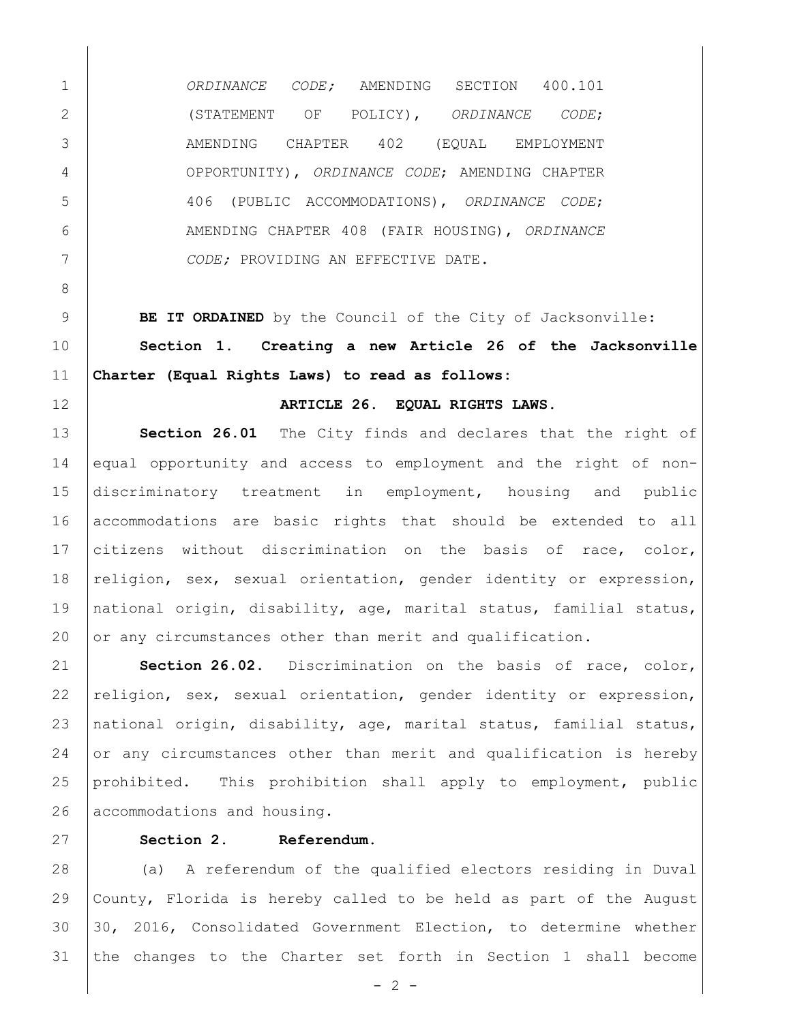*ORDINANCE CODE;* AMENDING SECTION 400.101 (STATEMENT OF POLICY), *ORDINANCE CODE*; AMENDING CHAPTER 402 (EQUAL EMPLOYMENT OPPORTUNITY), *ORDINANCE CODE*; AMENDING CHAPTER 406 (PUBLIC ACCOMMODATIONS), *ORDINANCE CODE*; AMENDING CHAPTER 408 (FAIR HOUSING), *ORDINANCE CODE;* PROVIDING AN EFFECTIVE DATE.

 **BE IT ORDAINED** by the Council of the City of Jacksonville: **Section 1. Creating a new Article 26 of the Jacksonville Charter (Equal Rights Laws) to read as follows:**

**ARTICLE 26. EQUAL RIGHTS LAWS.**

**Section 26.01** The City finds and declares that the right of 14 equal opportunity and access to employment and the right of non- discriminatory treatment in employment, housing and public 16 accommodations are basic rights that should be extended to all 17 citizens without discrimination on the basis of race, color, 18 religion, sex, sexual orientation, gender identity or expression, national origin, disability, age, marital status, familial status, 20 or any circumstances other than merit and qualification.

 **Section 26.02.** Discrimination on the basis of race, color,  $religion, sex, sexual orientation, gender identity or expression,$  national origin, disability, age, marital status, familial status, or any circumstances other than merit and qualification is hereby prohibited. This prohibition shall apply to employment, public 26 accommodations and housing.

# **Section 2. Referendum.**

 (a) A referendum of the qualified electors residing in Duval County, Florida is hereby called to be held as part of the August 30, 2016, Consolidated Government Election, to determine whether the changes to the Charter set forth in Section 1 shall become

 $- 2 -$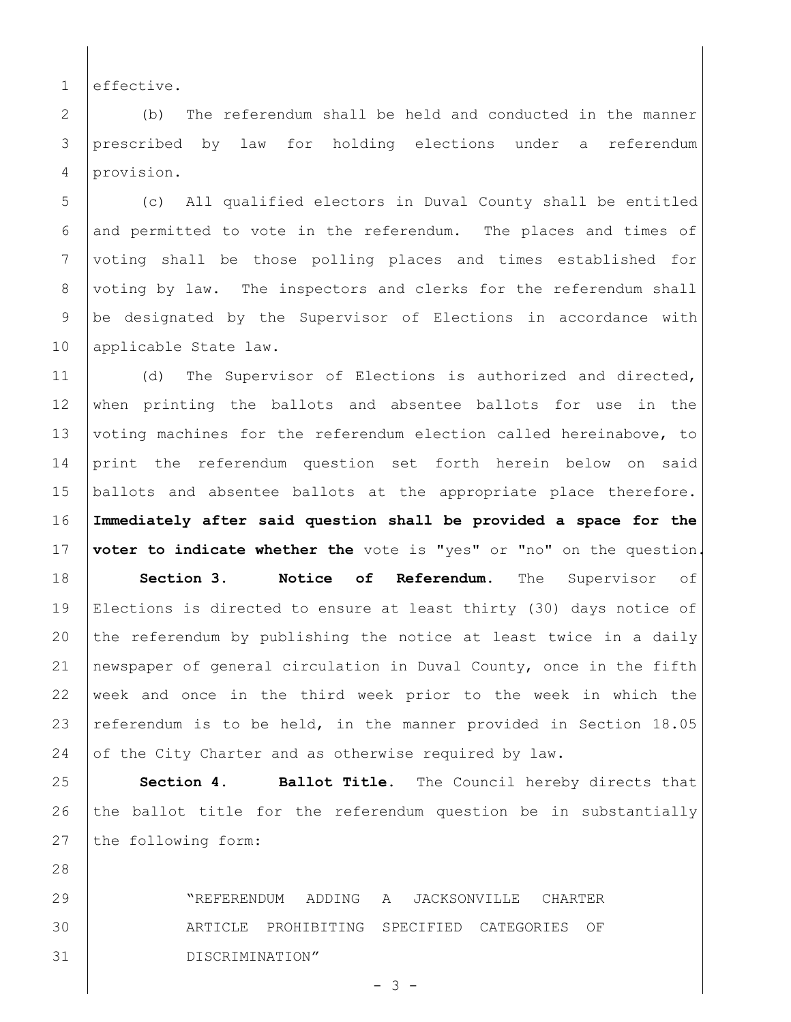1 effective.

28

2 (b) The referendum shall be held and conducted in the manner 3 prescribed by law for holding elections under a referendum 4 provision.

5 (c) All qualified electors in Duval County shall be entitled  $6$  and permitted to vote in the referendum. The places and times of 7 voting shall be those polling places and times established for 8 voting by law. The inspectors and clerks for the referendum shall 9 be designated by the Supervisor of Elections in accordance with 10 | applicable State law.

11 (d) The Supervisor of Elections is authorized and directed, 12 when printing the ballots and absentee ballots for use in the 13 voting machines for the referendum election called hereinabove, to 14 print the referendum question set forth herein below on said 15 ballots and absentee ballots at the appropriate place therefore. 16 **Immediately after said question shall be provided a space for the**  17 **voter to indicate whether the** vote is "yes" or "no" on the question. 18 **Section 3. Notice of Referendum.** The Supervisor of 19 Elections is directed to ensure at least thirty (30) days notice of 20 the referendum by publishing the notice at least twice in a daily 21 newspaper of general circulation in Duval County, once in the fifth 22 week and once in the third week prior to the week in which the 23 | referendum is to be held, in the manner provided in Section  $18.05$ 24 of the City Charter and as otherwise required by law.

25 **Section 4. Ballot Title.** The Council hereby directs that 26 the ballot title for the referendum question be in substantially 27 the following form:

29 "REFERENDUM ADDING A JACKSONVILLE CHARTER 30 ARTICLE PROHIBITING SPECIFIED CATEGORIES OF 31 DISCRIMINATION"

- 3 -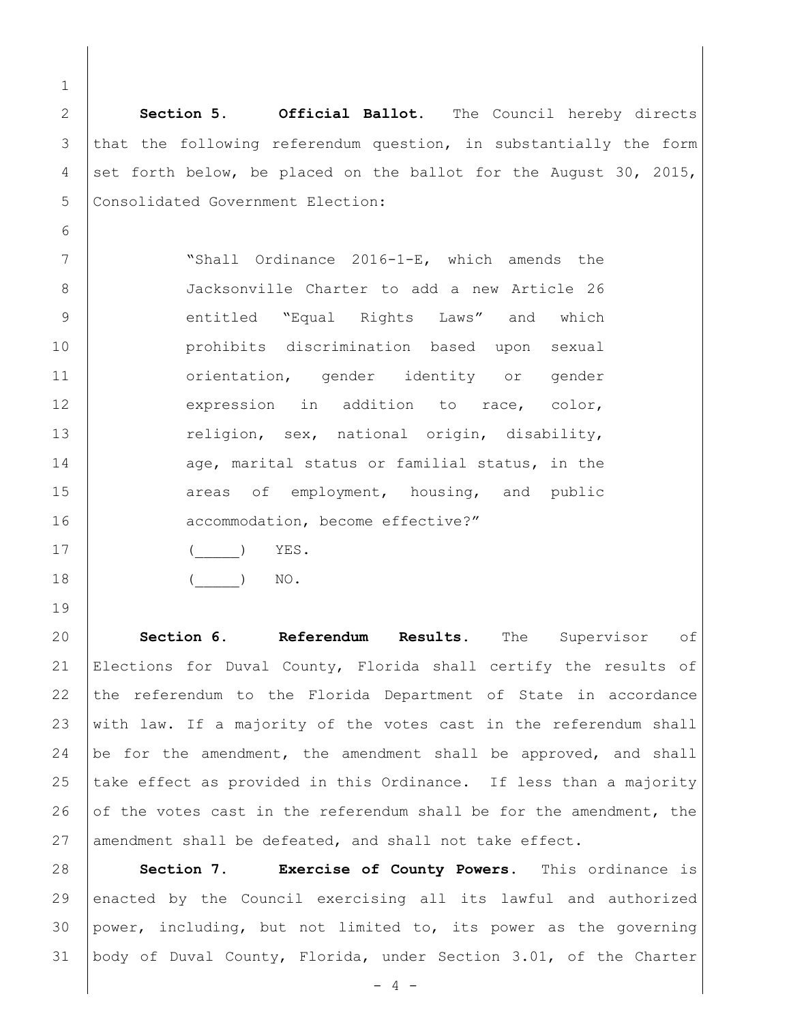1 2 **Section 5. Official Ballot.** The Council hereby directs 3 that the following referendum question, in substantially the form 4 set forth below, be placed on the ballot for the August 30, 2015, 5 Consolidated Government Election: 6 7 | Wishall Ordinance 2016-1-E, which amends the 8 Jacksonville Charter to add a new Article 26 9 entitled "Equal Rights Laws" and which 10 prohibits discrimination based upon sexual 11 | orientation, gender identity or gender 12 expression in addition to race, color, 13 religion, sex, national origin, disability, 14 age, marital status or familial status, in the 15 areas of employment, housing, and public 16 accommodation, become effective?"

- 17 | ( ) YES.
- 19
- 18 ( ) NO.

20 **Section 6. Referendum Results.** The Supervisor of 21 Elections for Duval County, Florida shall certify the results of 22 the referendum to the Florida Department of State in accordance 23 with law. If a majority of the votes cast in the referendum shall 24 be for the amendment, the amendment shall be approved, and shall 25  $\vert$  take effect as provided in this Ordinance. If less than a majority 26 of the votes cast in the referendum shall be for the amendment, the 27 amendment shall be defeated, and shall not take effect.

 **Section 7. Exercise of County Powers.** This ordinance is enacted by the Council exercising all its lawful and authorized power, including, but not limited to, its power as the governing body of Duval County, Florida, under Section 3.01, of the Charter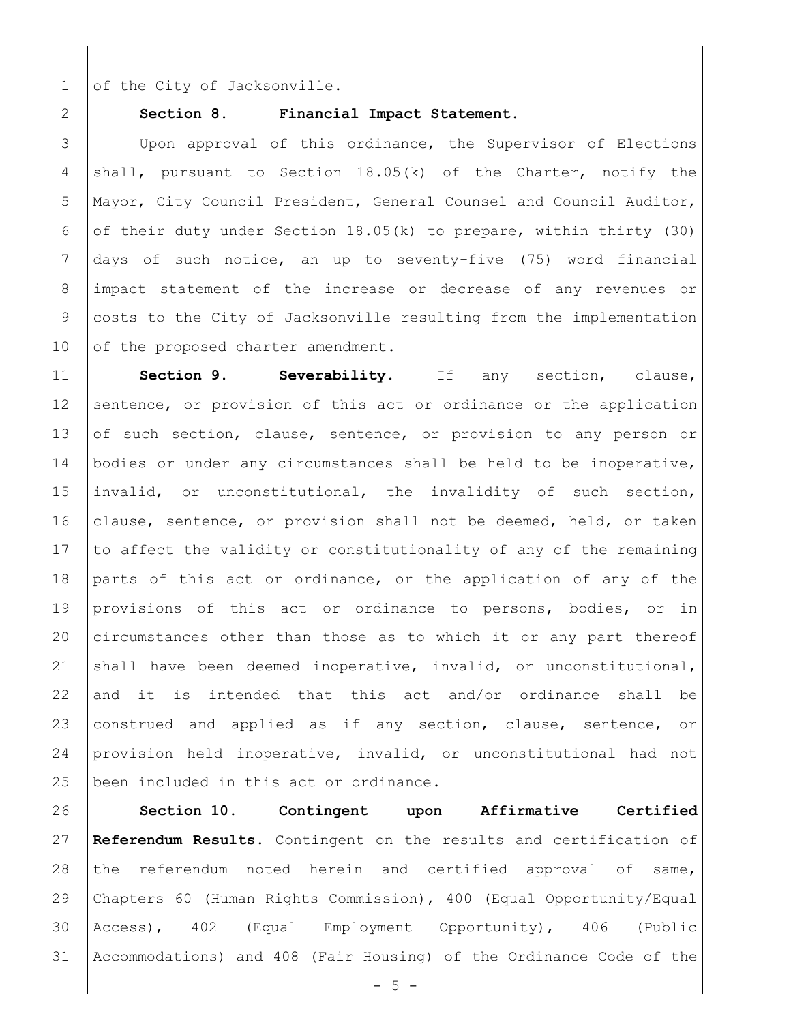1 of the City of Jacksonville.

#### 2 **Section 8. Financial Impact Statement.**

3 | Upon approval of this ordinance, the Supervisor of Elections 4 shall, pursuant to Section  $18.05(k)$  of the Charter, notify the 5 Mayor, City Council President, General Counsel and Council Auditor, 6 of their duty under Section 18.05(k) to prepare, within thirty (30) 7 days of such notice, an up to seventy-five (75) word financial 8 impact statement of the increase or decrease of any revenues or 9 costs to the City of Jacksonville resulting from the implementation 10 of the proposed charter amendment.

11 **Section 9. Severability.** If any section, clause, 12 sentence, or provision of this act or ordinance or the application 13 of such section, clause, sentence, or provision to any person or 14 bodies or under any circumstances shall be held to be inoperative, 15 invalid, or unconstitutional, the invalidity of such section, 16 clause, sentence, or provision shall not be deemed, held, or taken 17 to affect the validity or constitutionality of any of the remaining 18 parts of this act or ordinance, or the application of any of the 19 provisions of this act or ordinance to persons, bodies, or in 20 circumstances other than those as to which it or any part thereof 21 shall have been deemed inoperative, invalid, or unconstitutional, 22 and it is intended that this act and/or ordinance shall be 23 construed and applied as if any section, clause, sentence, or 24 provision held inoperative, invalid, or unconstitutional had not 25 | been included in this act or ordinance.

 **Section 10. Contingent upon Affirmative Certified Referendum Results.** Contingent on the results and certification of 28 the referendum noted herein and certified approval of same, Chapters 60 (Human Rights Commission), 400 (Equal Opportunity/Equal Access), 402 (Equal Employment Opportunity), 406 (Public Accommodations) and 408 (Fair Housing) of the Ordinance Code of the

 $-5 -$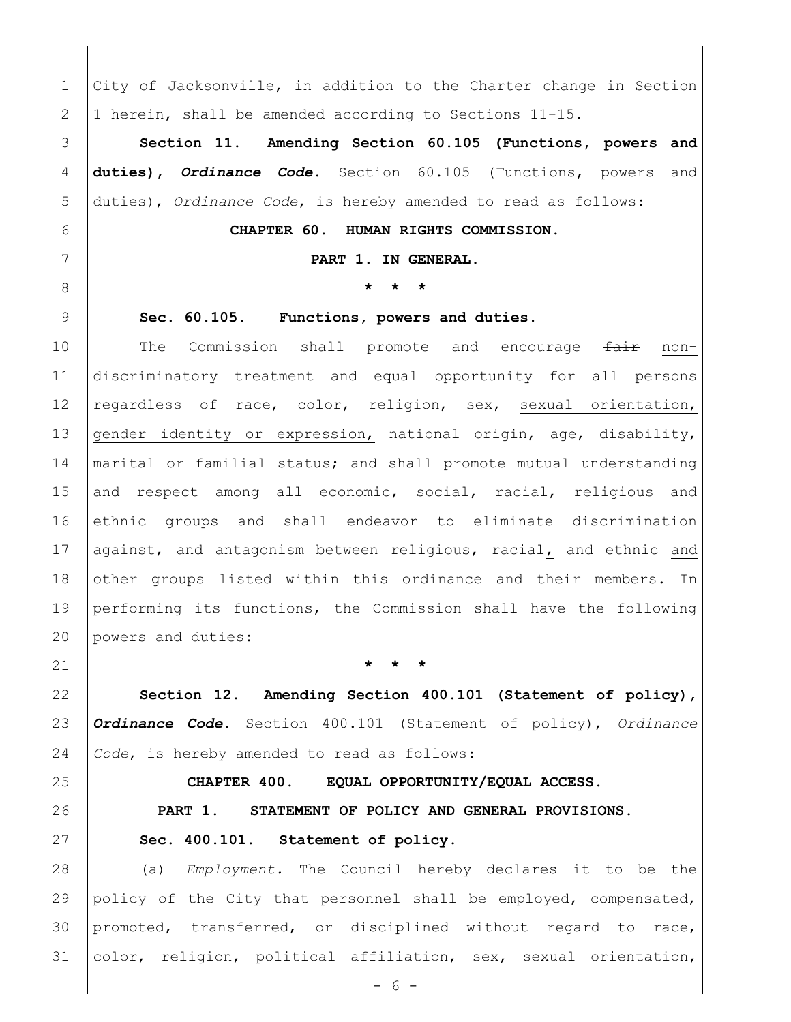1 City of Jacksonville, in addition to the Charter change in Section 1 herein, shall be amended according to Sections 11-15.

 **Section 11**. **Amending [Section 60.105 \(Functions, powers and](javascript:void(0))  [duties\)](javascript:void(0)),** *Ordinance Code***.** [Section 60.105 \(Functions, powers and](javascript:void(0))  [duties\)](javascript:void(0)), *Ordinance Code*, is hereby amended to read as follows:

**CHAPTER 60. HUMAN RIGHTS COMMISSION.**

**PART 1. IN GENERAL.**

**\* \* \***

**Sec. 60.105. [Functions, powers and duties.](javascript:void(0))**

10 The Commission shall promote and encourage <del>fair</del> non- discriminatory treatment and equal opportunity for all persons 12 regardless of race, color, religion, sex, sexual orientation, 13 gender identity or expression, national origin, age, disability, 14 | marital or familial status; and shall promote mutual understanding 15 and respect among all economic, social, racial, religious and ethnic groups and shall endeavor to eliminate discrimination 17 against, and antagonism between religious, racial, and ethnic and 18 other groups listed within this ordinance and their members. In performing its functions, the Commission shall have the following powers and duties:

**\* \* \***

 **Section 12**. **Amending Section 400.101 (Statement of policy),**  *Ordinance Code***.** Section 400.101 (Statement of policy), *Ordinance Code*, is hereby amended to read as follows:

## **CHAPTER 400. EQUAL OPPORTUNITY/EQUAL ACCESS.**

 **PART 1. STATEMENT OF POLICY AND GENERAL PROVISIONS. [Sec. 400.101. Statement of policy.](javascript:void(0))**

 (a) *Employment.* The Council hereby declares it to be the policy of the City that personnel shall be employed, compensated, promoted, transferred, or disciplined without regard to race, 31 color, religion, political affiliation, sex, sexual orientation,

 $- 6 -$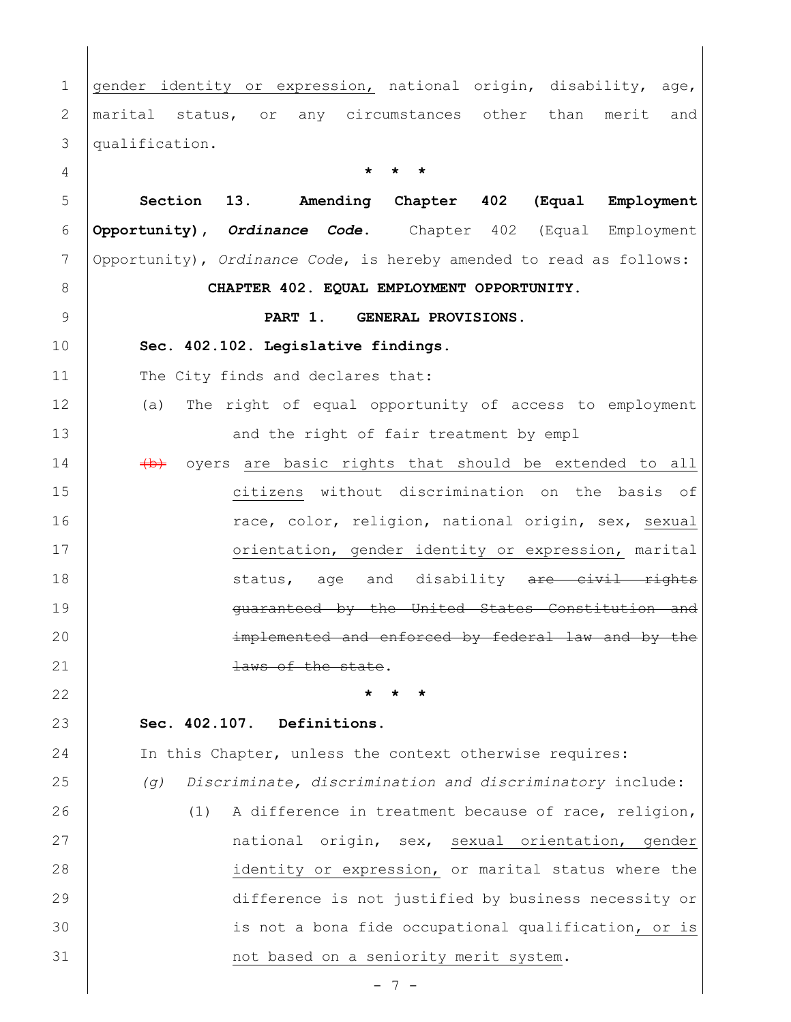1 gender identity or expression, national origin, disability, age, marital status, or any circumstances other than merit and qualification. **\* \* \* Section 13**. **Amending Chapter 402 (Equal Employment Opportunity),** *Ordinance Code***.** Chapter 402 (Equal Employment Opportunity), *Ordinance Code*, is hereby amended to read as follows: **CHAPTER 402. EQUAL EMPLOYMENT OPPORTUNITY. PART 1. GENERAL PROVISIONS. [Sec. 402.102. Legislative findings.](javascript:void(0))** 11 The City finds and declares that: (a) The right of equal opportunity of access to employment 13 | and the right of fair treatment by empl  $\rightarrow$   $\rightarrow$  oyers are basic rights that should be extended to all citizens without discrimination on the basis of 16 | race, color, religion, national origin, sex, sexual 17 | crientation, gender identity or expression, marital 18 status, age and disability are civil rights **Guaranteed by the United States Constitution and implemented and enforced by federal law and by the** 21 aws of the state. **\* \* \* Sec. 402.107. Definitions.** In this Chapter, unless the context otherwise requires: *(g) Discriminate, discrimination and discriminatory* include: (1) A difference in treatment because of race, religion, 27 | mational origin, sex, sexual orientation, gender identity or expression, or marital status where the difference is not justified by business necessity or 30 | is not a bona fide occupational qualification, or is **not based on a seniority merit system.**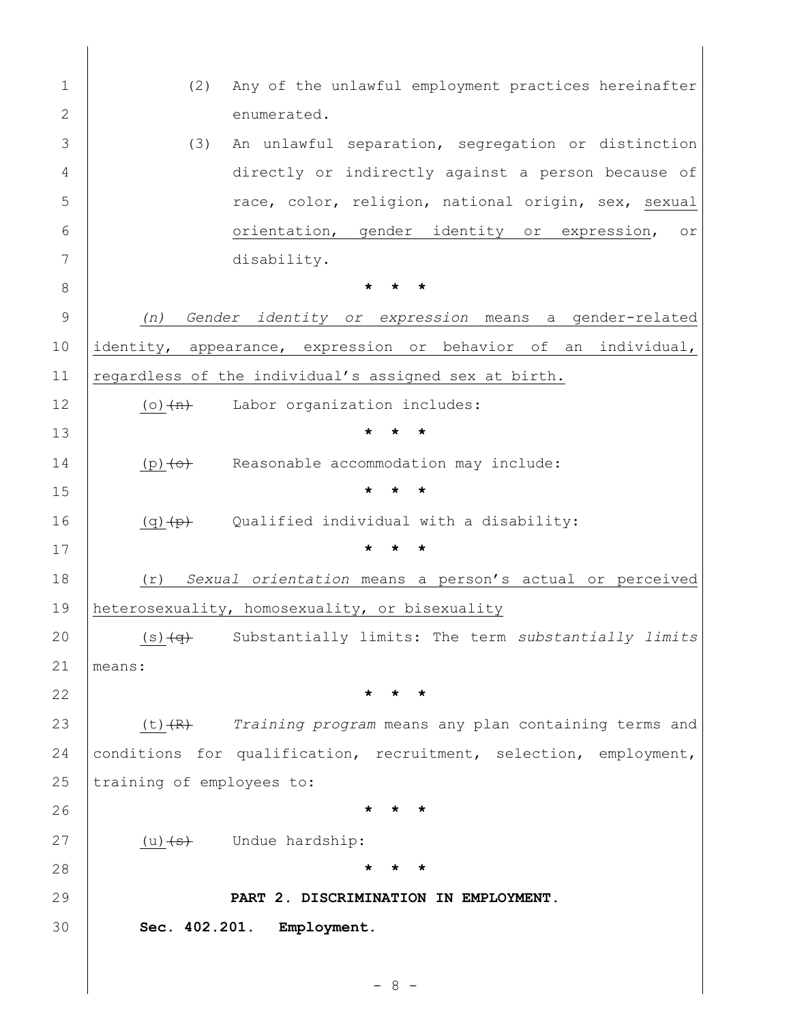| 1             | Any of the unlawful employment practices hereinafter<br>(2)                 |
|---------------|-----------------------------------------------------------------------------|
| $\mathbf{2}$  | enumerated.                                                                 |
| 3             | An unlawful separation, segregation or distinction<br>(3)                   |
| 4             | directly or indirectly against a person because of                          |
| 5             | race, color, religion, national origin, sex, sexual                         |
| 6             | orientation, gender identity or expression,<br>or                           |
| 7             | disability.                                                                 |
| 8             |                                                                             |
| $\mathcal{G}$ | Gender identity or expression means a gender-related<br>(n)                 |
| 10            | identity, appearance, expression or behavior of an individual,              |
| 11            | regardless of the individual's assigned sex at birth.                       |
| 12            | Labor organization includes:<br>$(o)$ $(n)$                                 |
| 13            |                                                                             |
| 14            | Reasonable accommodation may include:<br>$(p) < \leftrightarrow$            |
| 15            | $\star$<br>$\star$                                                          |
| 16            | Qualified individual with a disability:<br>(q) <del>(p)</del>               |
| 17            |                                                                             |
| 18            | Sexual orientation means a person's actual or perceived<br>(r)              |
| 19            | heterosexuality, homosexuality, or bisexuality                              |
| 20            | Substantially limits: The term substantially limits<br>$(s)$ $\overline{q}$ |
| 21            | means:                                                                      |
| 22            |                                                                             |
| 23            | Training program means any plan containing terms and<br>(t) <del>(R)</del>  |
| 24            | conditions for qualification, recruitment, selection, employment,           |
| 25            | training of employees to:                                                   |
| 26            |                                                                             |
| 27            | Undue hardship:<br>(u) <sub>5</sub>                                         |
| 28            |                                                                             |
| 29            | PART 2. DISCRIMINATION IN EMPLOYMENT.                                       |
| 30            | Sec. 402.201. Employment.                                                   |
|               |                                                                             |
|               | 8                                                                           |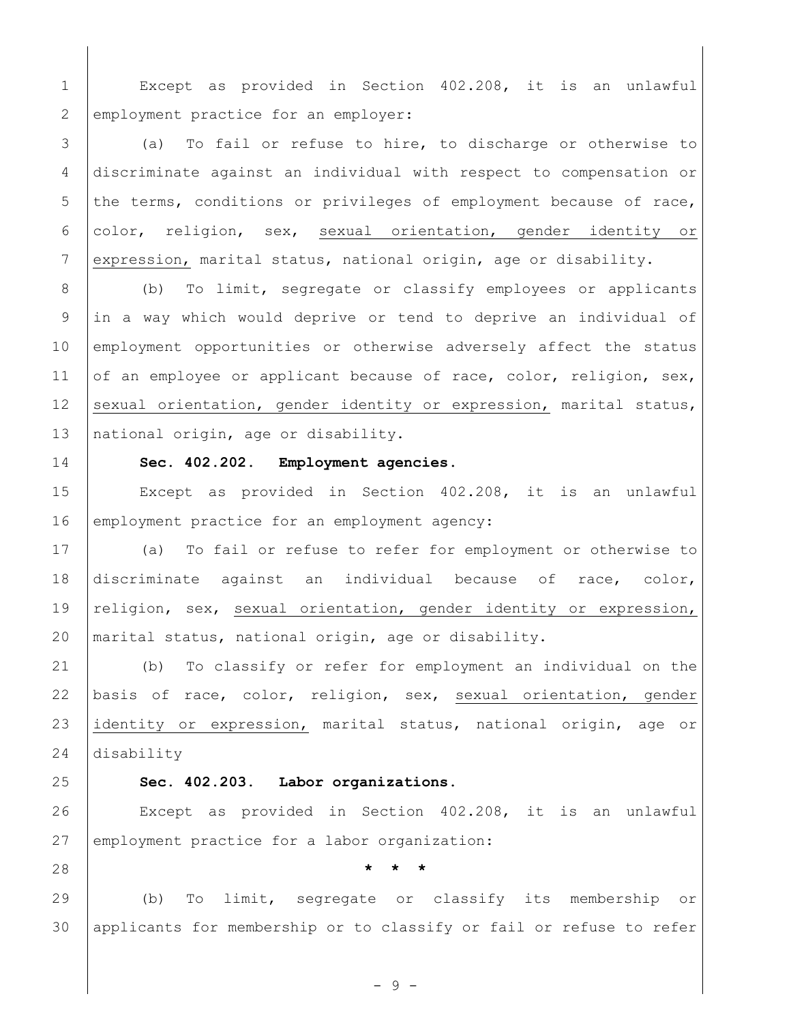Except as provided in [Section 402.208,](file://///Oak/n00007920$/level3/TITXIEQOP_CH402EQEMOP_PT2DIEM.html%23TITXIEQOP_CH402EQEMOP_PT2DIEM_S402.208DE) it is an unlawful 2 employment practice for an employer:

 (a) To fail or refuse to hire, to discharge or otherwise to discriminate against an individual with respect to compensation or 5 the terms, conditions or privileges of employment because of race, 6 color, religion, sex, sexual orientation, gender identity or 7 expression, marital status, national origin, age or disability.

 (b) To limit, segregate or classify employees or applicants in a way which would deprive or tend to deprive an individual of 10 employment opportunities or otherwise adversely affect the status 11 of an employee or applicant because of race, color, religion, sex, 12 sexual orientation, gender identity or expression, marital status, 13 national origin, age or disability.

## **[Sec. 402.202. Employment agencies](javascript:void(0))**.

 Except as provided in [Section 402.208,](file://///Oak/n00007920$/level3/TITXIEQOP_CH402EQEMOP_PT2DIEM.html) it is an unlawful 16 employment practice for an employment agency:

 (a) To fail or refuse to refer for employment or otherwise to discriminate against an individual because of race, color, 19 religion, sex, sexual orientation, gender identity or expression, marital status, national origin, age or disability.

 (b) To classify or refer for employment an individual on the basis of race, color, religion, sex, sexual orientation, gender identity or expression, marital status, national origin, age or disability

## **[Sec. 402.203. Labor organizations.](javascript:void(0))**

 Except as provided in Section 402.208, it is an unlawful 27 employment practice for a labor organization:

**\* \* \***

 (b) To limit, segregate or classify its membership or applicants for membership or to classify or fail or refuse to refer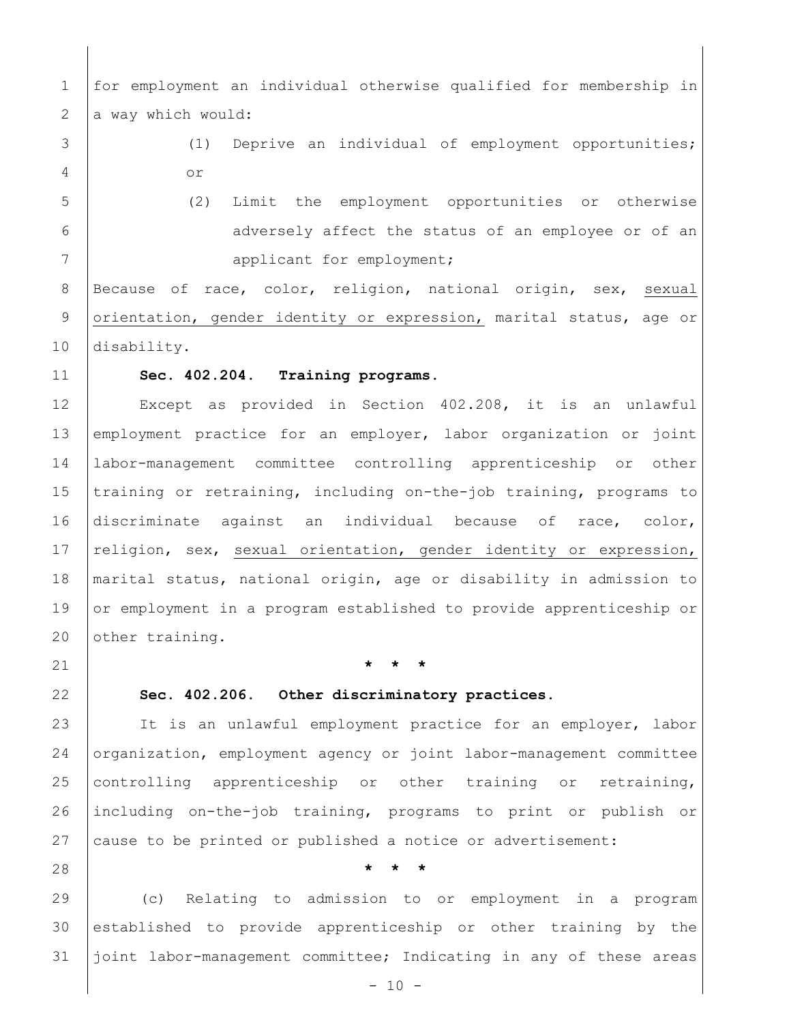| $\mathbf 1$ | for employment an individual otherwise qualified for membership in |
|-------------|--------------------------------------------------------------------|
| 2           | a way which would:                                                 |
| 3           | Deprive an individual of employment opportunities;<br>(1)          |
| 4           | O <sub>T</sub>                                                     |
| 5           | (2)<br>Limit the employment opportunities or otherwise             |
| 6           | adversely affect the status of an employee or of an                |
| 7           | applicant for employment;                                          |
| 8           | Because of race, color, religion, national origin, sex, sexual     |
| 9           | orientation, gender identity or expression, marital status, age or |
| 10          | disability.                                                        |
| 11          | Sec. 402.204. Training programs.                                   |
| 12          | Except as provided in Section 402.208, it is an unlawful           |
| 13          | employment practice for an employer, labor organization or joint   |
| 14          | labor-management committee controlling apprenticeship or<br>other  |
| 15          | training or retraining, including on-the-job training, programs to |
| 16          | discriminate against an individual because of race, color,         |
| 17          | religion, sex, sexual orientation, gender identity or expression,  |

18 | marital status, national origin, age or disability in admission to 19 or employment in a program established to provide apprenticeship or 20 other training.

## 21 **\* \* \***

#### 22 **[Sec. 402.206. Other discriminatory practices.](javascript:void(0))**

23 | It is an unlawful employment practice for an employer, labor 24 organization, employment agency or joint labor-management committee 25 controlling apprenticeship or other training or retraining, 26 including on-the-job training, programs to print or publish or 27 cause to be printed or published a notice or advertisement:

28 **\* \* \***

29 (c) Relating to admission to or employment in a program 30 established to provide apprenticeship or other training by the 31 joint labor-management committee; Indicating in any of these areas

 $- 10 -$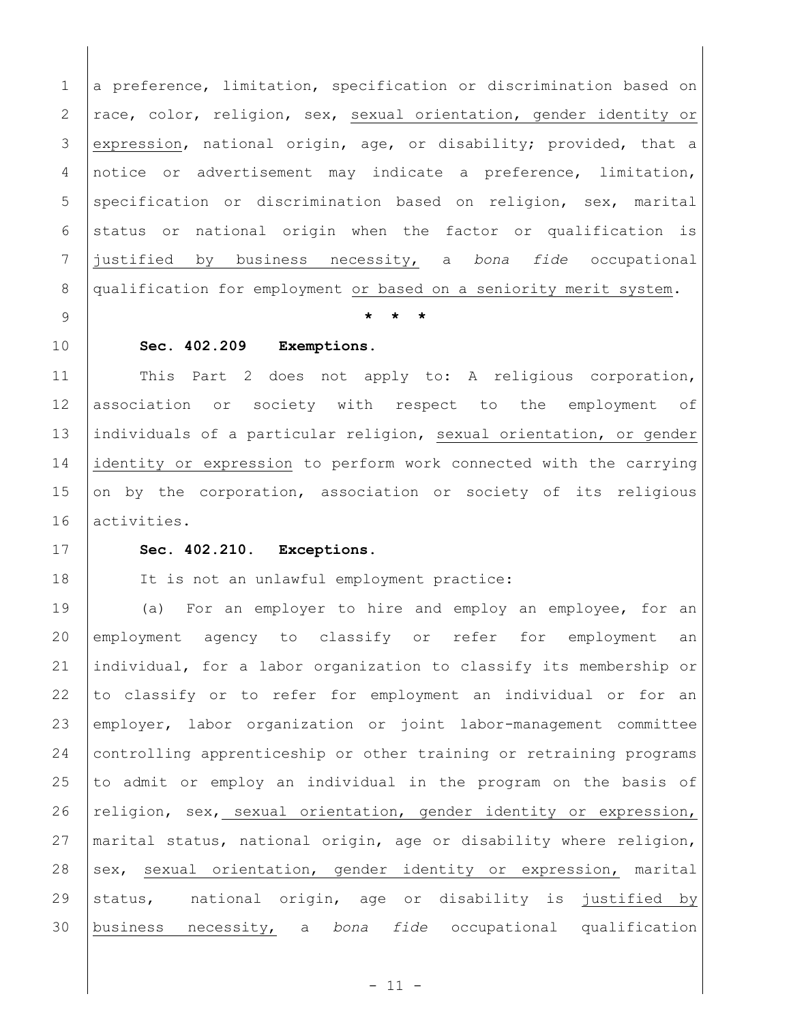1 a preference, limitation, specification or discrimination based on 2  $rac{1}{2}$  race, color, religion, sex, sexual orientation, gender identity or 3 expression, national origin, age, or disability; provided, that a 4 notice or advertisement may indicate a preference, limitation, 5 specification or discrimination based on religion, sex, marital  $6$  status or national origin when the factor or qualification is 7 justified by business necessity, a *bona fide* occupational 8 qualification for employment or based on a seniority merit system.

9 **\* \* \***

#### 10 **[Sec. 402.209 Exemptions.](javascript:void(0))**

11 This Part 2 does not apply to: A religious corporation, 12 association or society with respect to the employment of 13 individuals of a particular religion, sexual orientation, or gender 14 identity or expression to perform work connected with the carrying 15 on by the corporation, association or society of its religious 16 activities.

### 17 **[Sec. 402.210. Exceptions.](javascript:void(0))**

18 | It is not an unlawful employment practice:

 (a) For an employer to hire and employ an employee, for an employment agency to classify or refer for employment an individual, for a labor organization to classify its membership or to classify or to refer for employment an individual or for an employer, labor organization or joint labor-management committee controlling apprenticeship or other training or retraining programs to admit or employ an individual in the program on the basis of  $religion, sex, sexual orientation, gender identity or expression,$  marital status, national origin, age or disability where religion, 28 sex, sexual orientation, gender identity or expression, marital 29 status, national origin, age or disability is justified by business necessity, a *bona fide* occupational qualification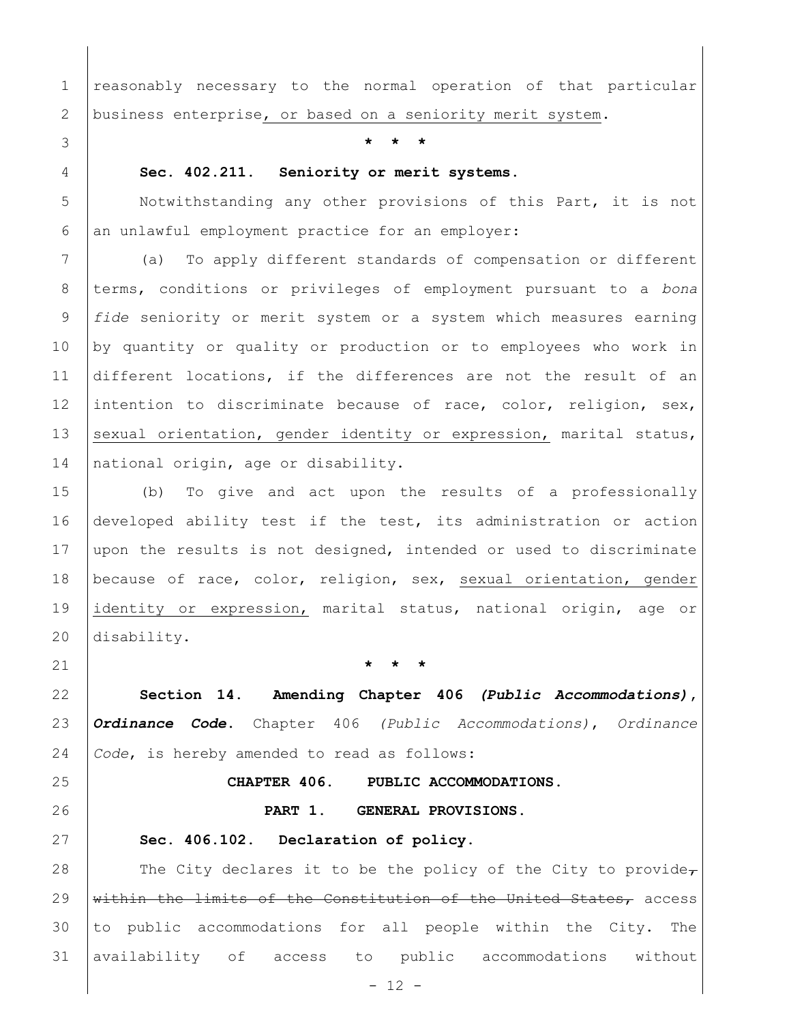1 reasonably necessary to the normal operation of that particular business enterprise, or based on a seniority merit system.

**\* \* \***

## **[Sec. 402.211. Seniority or merit systems.](javascript:void(0))**

 Notwithstanding any other provisions of this Part, it is not an unlawful employment practice for an employer:

 (a) To apply different standards of compensation or different terms, conditions or privileges of employment pursuant to a *bona fide* seniority or merit system or a system which measures earning by quantity or quality or production or to employees who work in 11 different locations, if the differences are not the result of an 12 intention to discriminate because of race, color, religion, sex, 13 sexual orientation, gender identity or expression, marital status, 14 national origin, age or disability.

 (b) To give and act upon the results of a professionally developed ability test if the test, its administration or action 17 upon the results is not designed, intended or used to discriminate because of race, color, religion, sex, sexual orientation, gender identity or expression, marital status, national origin, age or disability.

**\* \* \***

 **Section 14**. **Amending Chapter 406** *(Public Accommodations)***,**  *Ordinance Code***.** Chapter 406 *(Public Accommodations)*, *Ordinance Code*, is hereby amended to read as follows:

# **CHAPTER 406. PUBLIC ACCOMMODATIONS.**

**PART 1. GENERAL PROVISIONS.** 

#### **[Sec. 406.102. Declaration of policy.](javascript:void(0))**

28 The City declares it to be the policy of the City to provide $\tau$  $\frac{1}{2}$  within the limits of the Constitution of the United States, access to public accommodations for all people within the City. The availability of access to public accommodations without

 $- 12 -$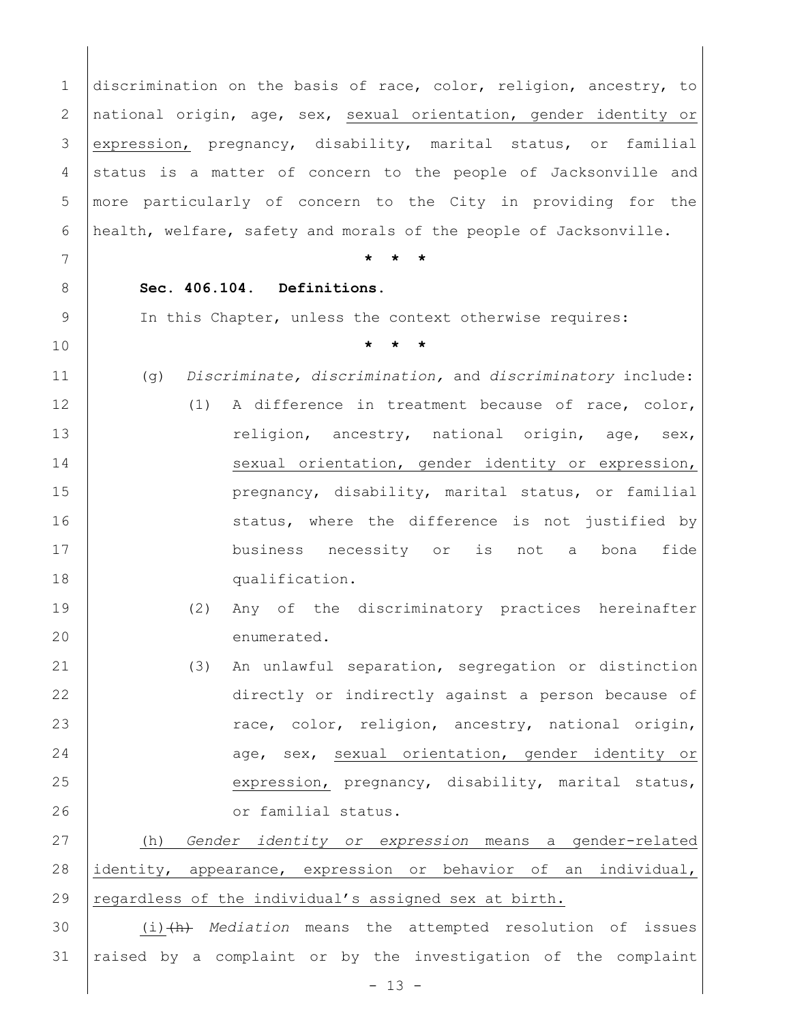1 discrimination on the basis of race, color, religion, ancestry, to 2 national origin, age, sex, sexual orientation, gender identity or 3 expression, pregnancy, disability, marital status, or familial 4 status is a matter of concern to the people of Jacksonville and 5 more particularly of concern to the City in providing for the 6 health, welfare, safety and morals of the people of Jacksonville. 7 **\* \* \*** 8 **[Sec. 406.104. Definitions.](javascript:void(0))** 9 In this Chapter, unless the context otherwise requires: 10 **\* \* \*** 11 (g) *Discriminate, discrimination,* and *discriminatory* include: 12 (1) A difference in treatment because of race, color, 13 | Teligion, ancestry, national origin, age, sex, 14 | sexual orientation, gender identity or expression, 15 **pregnancy, disability, marital status, or familial** 16 status, where the difference is not justified by 17 | business necessity or is not a bona fide 18 qualification. 19 (2) Any of the discriminatory practices hereinafter 20 | enumerated. 21 (3) An unlawful separation, segregation or distinction 22 directly or indirectly against a person because of 23 Tace, color, religion, ancestry, national origin, 24 age, sex, sexual orientation, gender identity or 25 expression, pregnancy, disability, marital status, 26 **Community** 1 or familial status. 27 (h) *Gender identity or expression* means a gender-related 28 identity, appearance, expression or behavior of an individual, 29 regardless of the individual's assigned sex at birth. 30 (i)(h) *Mediation* means the attempted resolution of issues 31 raised by a complaint or by the investigation of the complaint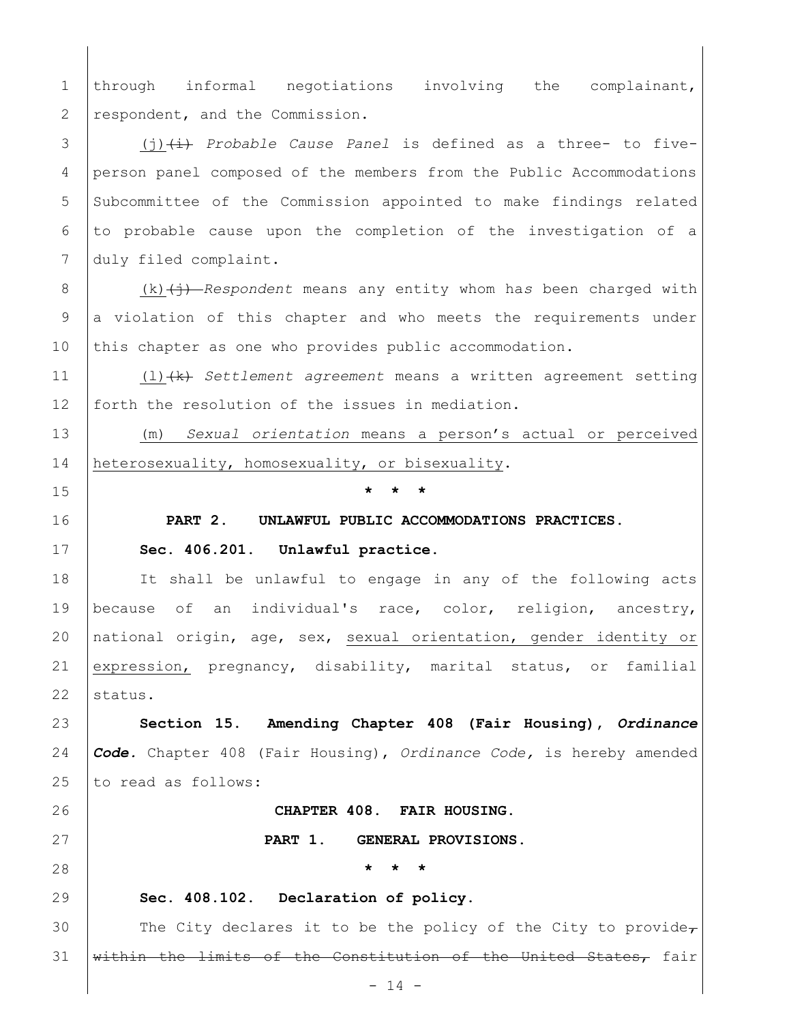1 through informal negotiations involving the complainant, 2 respondent, and the Commission. 3 (j)(i) *Probable Cause Panel* is defined as a three- to five-

4 person panel composed of the members from the Public Accommodations 5 Subcommittee of the Commission appointed to make findings related 6 to probable cause upon the completion of the investigation of a 7 duly filed complaint.

8 (k) (i) *Respondent* means any entity whom has been charged with 9 a violation of this chapter and who meets the requirements under 10 this chapter as one who provides public accommodation.

11 (l)(k) *Settlement agreement* means a written agreement setting 12 forth the resolution of the issues in mediation.

13 (m) *Sexual orientation* means a person's actual or perceived 14 heterosexuality, homosexuality, or bisexuality.

15 **\* \* \***

### 16 **PART 2. UNLAWFUL PUBLIC ACCOMMODATIONS PRACTICES.**

### 17 **[Sec. 406.201. Unlawful practice.](javascript:void(0))**

18 | It shall be unlawful to engage in any of the following acts 19 because of an individual's race, color, religion, ancestry, 20 national origin, age, sex, sexual orientation, gender identity or 21 expression, pregnancy, disability, marital status, or familial  $22$  status.

23 **Section 15**. **Amending Chapter 408 (Fair Housing),** *Ordinance*  24 *Code.* Chapter 408 (Fair Housing), *Ordinance Code,* is hereby amended 25 to read as follows:

26 **CHAPTER 408. FAIR HOUSING.**

27 **PART 1. GENERAL PROVISIONS.**

28 **\* \* \*** 

#### 29 **[Sec. 408.102. Declaration of policy.](javascript:void(0))**

30 The City declares it to be the policy of the City to provide $\tau$ 31 within the limits of the Constitution of the United States, fair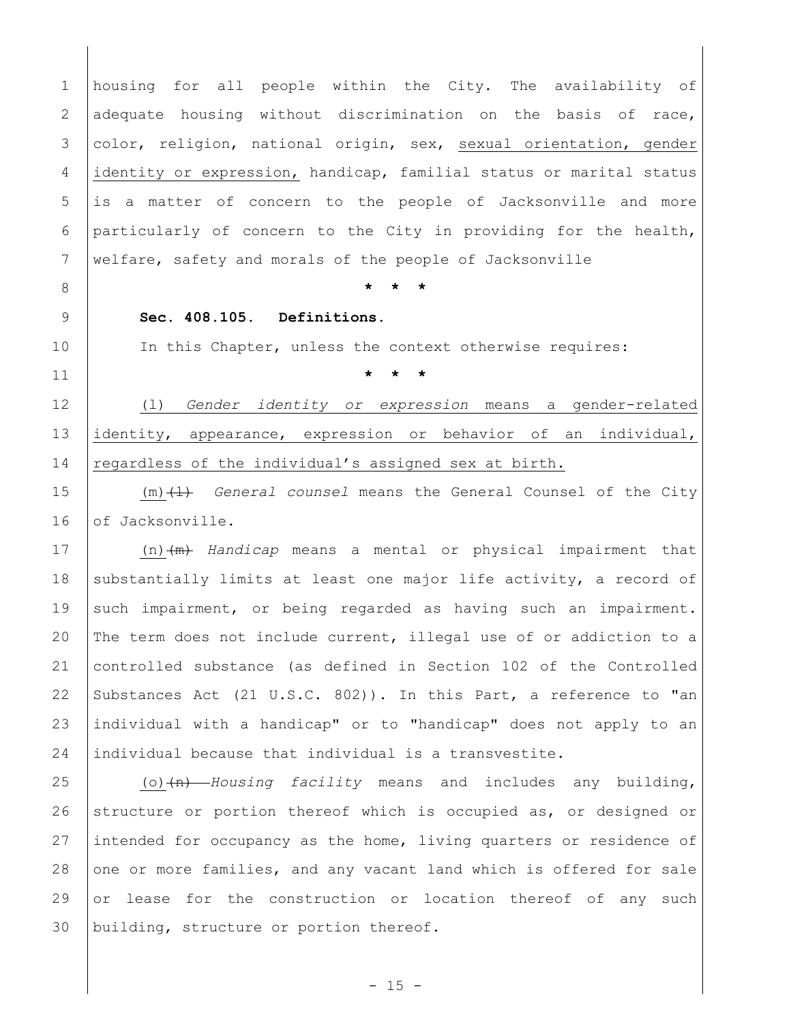1 housing for all people within the City. The availability of 2 adequate housing without discrimination on the basis of race, 3 color, religion, national origin, sex, sexual orientation, gender 4 identity or expression, handicap, familial status or marital status 5 is a matter of concern to the people of Jacksonville and more 6 particularly of concern to the City in providing for the health, 7 welfare, safety and morals of the people of Jacksonville

8 **\* \* \*** 

### 9 **[Sec. 408.105. Definitions.](javascript:void(0))**

10 | In this Chapter, unless the context otherwise requires:

11 **\* \* \***

12 (l) *Gender identity or expression* means a gender-related 13 identity, appearance, expression or behavior of an individual, 14 regardless of the individual's assigned sex at birth.

15 (m)(l) *General counsel* means the General Counsel of the City 16 of Jacksonville.

 (n)(m) *Handicap* means a mental or physical impairment that 18 substantially limits at least one major life activity, a record of 19 such impairment, or being regarded as having such an impairment. The term does not include current, illegal use of or addiction to a controlled substance (as defined in Section 102 of the Controlled 22 Substances Act (21 U.S.C. [802\)](file://///Oak/n00007920$/level2/TITXXIIITRPA_CH802PUPA.html)). In this Part, a reference to "an individual with a handicap" or to "handicap" does not apply to an individual because that individual is a transvestite.

25 (o)<del>(n)</del> *Housing facility* means and includes any building, 26 structure or portion thereof which is occupied as, or designed or 27 intended for occupancy as the home, living quarters or residence of 28 one or more families, and any vacant land which is offered for sale 29  $\sigma$  lease for the construction or location thereof of any such 30 building, structure or portion thereof.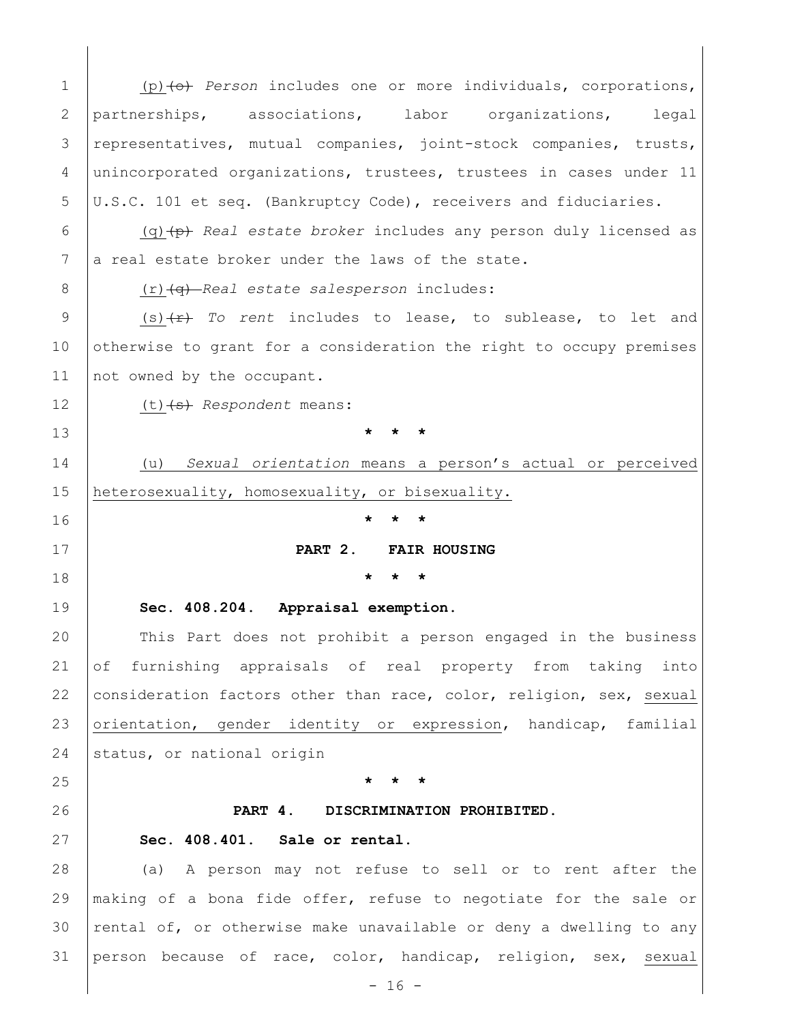1 (p) (o) *Person* includes one or more individuals, corporations, 2 partnerships, associations, labor organizations, legal 3 representatives, mutual companies, joint-stock companies, trusts, 4 unincorporated organizations, trustees, trustees in cases under 11 5 U.S.C. 101 et seq. (Bankruptcy Code), receivers and fiduciaries. 6 (q)(p) *Real estate broker* includes any person duly licensed as  $7$  a real estate broker under the laws of the state. 8 (r) (q) *Real estate salesperson* includes: 9 (s) (f) *To rent* includes to lease, to sublease, to let and 10 otherwise to grant for a consideration the right to occupy premises 11 not owned by the occupant. 12 (t) (s) Respondent means: 13 **\* \* \*** 14 (u) *Sexual orientation* means a person's actual or perceived 15 heterosexuality, homosexuality, or bisexuality. 16 **\* \* \*** 17 **PART 2. FAIR HOUSING** 18 **\* \* \***  19 **[Sec. 408.204. Appraisal exemption.](javascript:void(0))** 20 This Part does not prohibit a person engaged in the business 21 of furnishing appraisals of real property from taking into 22 consideration factors other than race, color, religion, sex, sexual 23 orientation, gender identity or expression, handicap, familial 24 status, or national origin 25 **\* \* \*** 26 **PART 4. DISCRIMINATION PROHIBITED.** 27 **Sec. 408.401. [Sale or rental.](javascript:void(0))** 28 | (a) A person may not refuse to sell or to rent after the 29 making of a bona fide offer, refuse to negotiate for the sale or 30  $|$  rental of, or otherwise make unavailable or deny a dwelling to any 31 person because of race, color, handicap, religion, sex, sexual

 $- 16 -$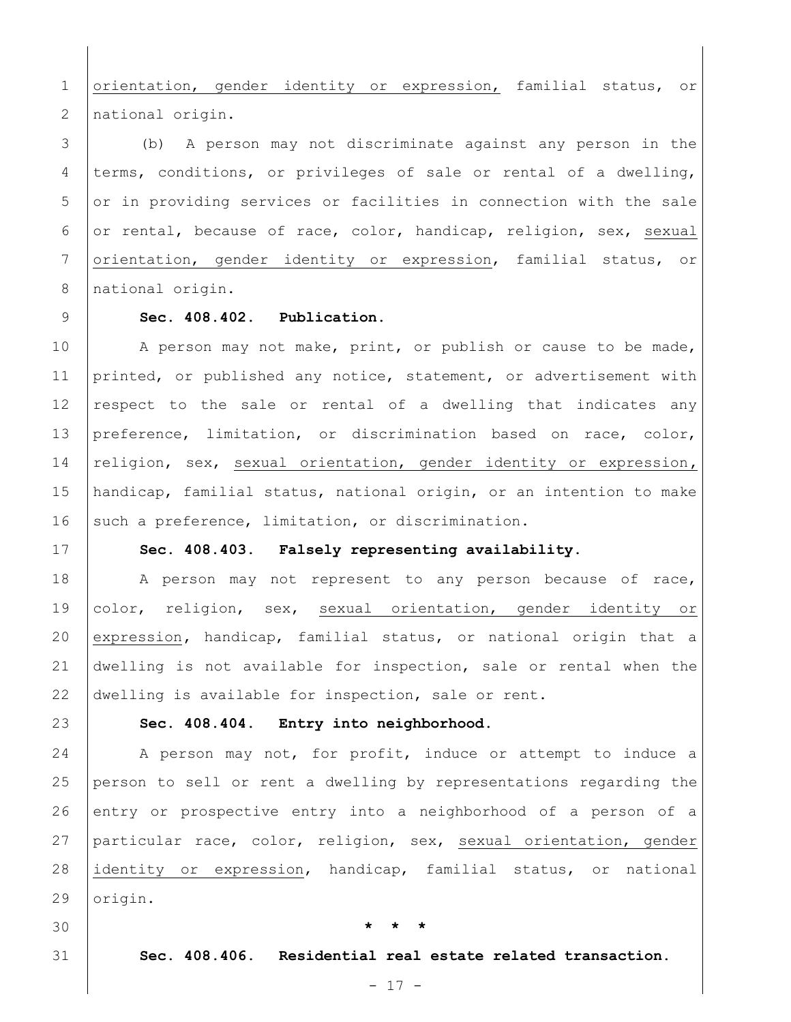1 orientation, gender identity or expression, familial status, or 2 | national origin.

3 (b) A person may not discriminate against any person in the 4 terms, conditions, or privileges of sale or rental of a dwelling, 5 or in providing services or facilities in connection with the sale 6 or rental, because of race, color, handicap, religion, sex, sexual 7 orientation, gender identity or expression, familial status, or 8 | national origin.

#### 9 **[Sec. 408.402. Publication.](javascript:void(0))**

10 A person may not make, print, or publish or cause to be made, 11 printed, or published any notice, statement, or advertisement with 12 respect to the sale or rental of a dwelling that indicates any 13 preference, limitation, or discrimination based on race, color, 14 religion, sex, sexual orientation, gender identity or expression**,**  15 handicap, familial status, national origin, or an intention to make 16 such a preference, limitation, or discrimination.

#### 17 **[Sec. 408.403. Falsely representing availability.](javascript:void(0))**

18 | A person may not represent to any person because of race, 19 color, religion, sex, sexual orientation, gender identity or 20 expression**,** handicap, familial status, or national origin that a 21 dwelling is not available for inspection, sale or rental when the 22 dwelling is available for inspection, sale or rent.

## 23 **[Sec. 408.404. Entry into neighborhood.](javascript:void(0))**

24 A person may not, for profit, induce or attempt to induce a person to sell or rent a dwelling by representations regarding the entry or prospective entry into a neighborhood of a person of a particular race, color, religion, sex, sexual orientation, gender identity or expression, handicap, familial status, or national 29 | origin.

### 30 **\* \* \***

31 **[Sec. 408.406. Residential real estate related transaction.](javascript:void(0))**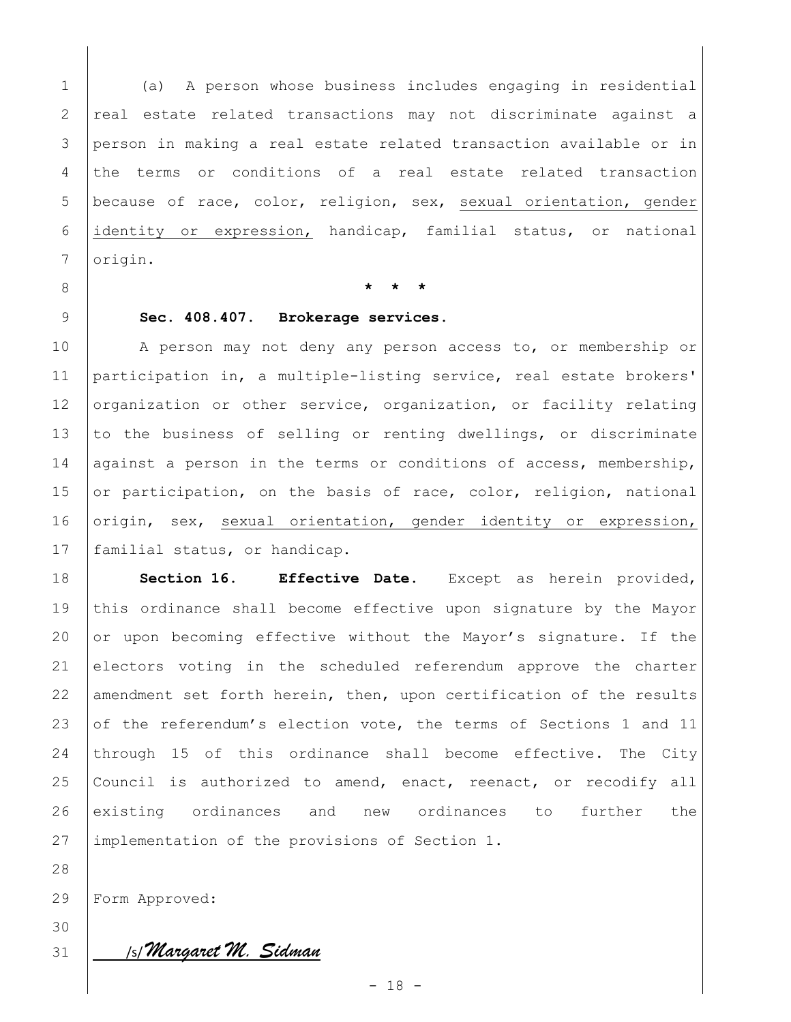(a) A person whose business includes engaging in residential real estate related transactions may not discriminate against a person in making a real estate related transaction available or in the terms or conditions of a real estate related transaction 5 because of race, color, religion, sex, sexual orientation, gender identity or expression, handicap, familial status, or national 7 | origin.

8 **\* \* \***

### 9 **[Sec. 408.407. Brokerage services.](javascript:void(0))**

10 A person may not deny any person access to, or membership or 11 participation in, a multiple-listing service, real estate brokers' 12 organization or other service, organization, or facility relating 13 to the business of selling or renting dwellings, or discriminate 14 against a person in the terms or conditions of access, membership, 15 or participation, on the basis of race, color, religion, national 16 origin, sex, sexual orientation, gender identity or expression, 17 | familial status, or handicap.

18 **Section 16. Effective Date.** Except as herein provided, 19 this ordinance shall become effective upon signature by the Mayor 20 or upon becoming effective without the Mayor's signature. If the 21 electors voting in the scheduled referendum approve the charter 22 amendment set forth herein, then, upon certification of the results 23 of the referendum's election vote, the terms of Sections 1 and 11 24 through 15 of this ordinance shall become effective. The City 25 Council is authorized to amend, enact, reenact, or recodify all 26 existing ordinances and new ordinances to further the 27 implementation of the provisions of Section 1.

29 Form Approved:

30

28

<sup>31</sup>/s/ *Margaret M. Sidman*